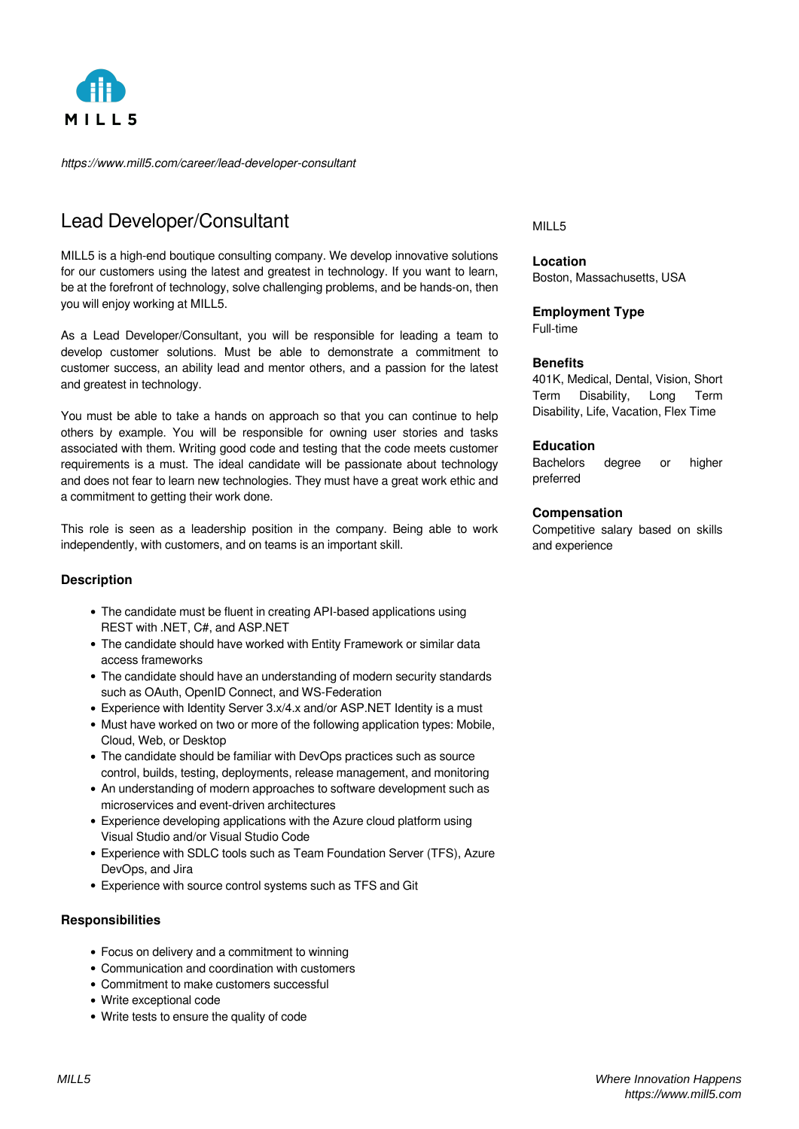

*https://www.mill5.com/career/lead-developer-consultant*

# Lead Developer/Consultant

MILL5 is a high-end boutique consulting company. We develop innovative solutions for our customers using the latest and greatest in technology. If you want to learn, be at the forefront of technology, solve challenging problems, and be hands-on, then you will enjoy working at MILL5.

As a Lead Developer/Consultant, you will be responsible for leading a team to develop customer solutions. Must be able to demonstrate a commitment to customer success, an ability lead and mentor others, and a passion for the latest and greatest in technology.

You must be able to take a hands on approach so that you can continue to help others by example. You will be responsible for owning user stories and tasks associated with them. Writing good code and testing that the code meets customer requirements is a must. The ideal candidate will be passionate about technology and does not fear to learn new technologies. They must have a great work ethic and a commitment to getting their work done.

This role is seen as a leadership position in the company. Being able to work independently, with customers, and on teams is an important skill.

### **Description**

- The candidate must be fluent in creating API-based applications using REST with .NET, C#, and ASP.NET
- The candidate should have worked with Entity Framework or similar data access frameworks
- The candidate should have an understanding of modern security standards such as OAuth, OpenID Connect, and WS-Federation
- Experience with Identity Server 3.x/4.x and/or ASP.NET Identity is a must
- Must have worked on two or more of the following application types: Mobile, Cloud, Web, or Desktop
- The candidate should be familiar with DevOps practices such as source control, builds, testing, deployments, release management, and monitoring
- An understanding of modern approaches to software development such as microservices and event-driven architectures
- Experience developing applications with the Azure cloud platform using Visual Studio and/or Visual Studio Code
- Experience with SDLC tools such as Team Foundation Server (TFS), Azure DevOps, and Jira
- Experience with source control systems such as TFS and Git

### **Responsibilities**

- Focus on delivery and a commitment to winning
- Communication and coordination with customers
- Commitment to make customers successful
- Write exceptional code
- Write tests to ensure the quality of code

#### MILL5

**Location** Boston, Massachusetts, USA

## **Employment Type**

Full-time

### **Benefits**

401K, Medical, Dental, Vision, Short Term Disability, Long Term Disability, Life, Vacation, Flex Time

### **Education**

Bachelors degree or higher preferred

#### **Compensation**

Competitive salary based on skills and experience